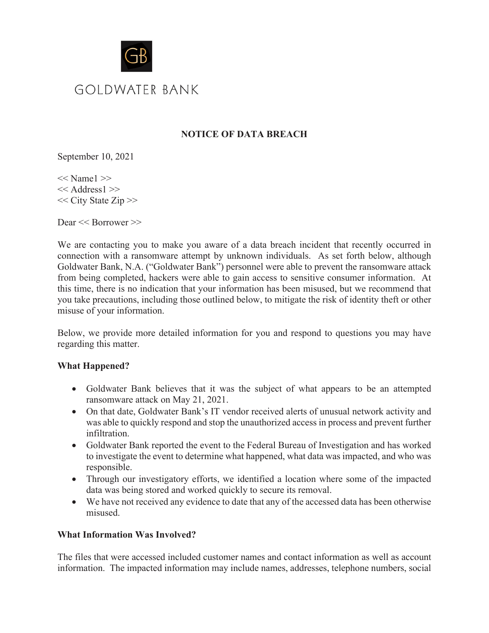

# **NOTICE OF DATA BREACH**

September 10, 2021

 $<<$  Name $1$  $>>$ << Address1 >> << City State Zip >>

Dear << Borrower >>

We are contacting you to make you aware of a data breach incident that recently occurred in connection with a ransomware attempt by unknown individuals. As set forth below, although Goldwater Bank, N.A. ("Goldwater Bank") personnel were able to prevent the ransomware attack from being completed, hackers were able to gain access to sensitive consumer information. At this time, there is no indication that your information has been misused, but we recommend that you take precautions, including those outlined below, to mitigate the risk of identity theft or other misuse of your information.

Below, we provide more detailed information for you and respond to questions you may have regarding this matter.

## **What Happened?**

- Goldwater Bank believes that it was the subject of what appears to be an attempted ransomware attack on May 21, 2021.
- On that date, Goldwater Bank's IT vendor received alerts of unusual network activity and was able to quickly respond and stop the unauthorized access in process and prevent further infiltration.
- Goldwater Bank reported the event to the Federal Bureau of Investigation and has worked to investigate the event to determine what happened, what data was impacted, and who was responsible.
- Through our investigatory efforts, we identified a location where some of the impacted data was being stored and worked quickly to secure its removal.
- We have not received any evidence to date that any of the accessed data has been otherwise misused.

## **What Information Was Involved?**

The files that were accessed included customer names and contact information as well as account information. The impacted information may include names, addresses, telephone numbers, social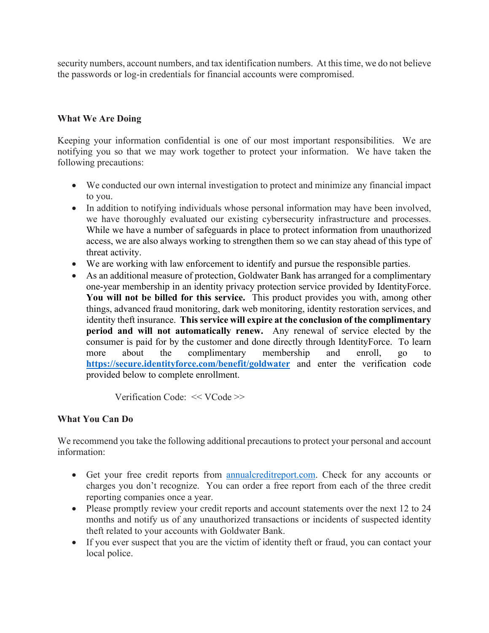security numbers, account numbers, and tax identification numbers. At this time, we do not believe the passwords or log-in credentials for financial accounts were compromised.

#### **What We Are Doing**

Keeping your information confidential is one of our most important responsibilities. We are notifying you so that we may work together to protect your information. We have taken the following precautions:

- We conducted our own internal investigation to protect and minimize any financial impact to you.
- In addition to notifying individuals whose personal information may have been involved, we have thoroughly evaluated our existing cybersecurity infrastructure and processes. While we have a number of safeguards in place to protect information from unauthorized access, we are also always working to strengthen them so we can stay ahead of this type of threat activity.
- We are working with law enforcement to identify and pursue the responsible parties.
- As an additional measure of protection, Goldwater Bank has arranged for a complimentary one-year membership in an identity privacy protection service provided by IdentityForce. **You will not be billed for this service.** This product provides you with, among other things, advanced fraud monitoring, dark web monitoring, identity restoration services, and identity theft insurance. **This service will expire at the conclusion of the complimentary period and will not automatically renew.** Any renewal of service elected by the consumer is paid for by the customer and done directly through IdentityForce. To learn more about the complimentary membership and enroll, go to **https://secure.identityforce.com/benefit/goldwater** and enter the verification code provided below to complete enrollment.

Verification Code: << VCode >>

## **What You Can Do**

We recommend you take the following additional precautions to protect your personal and account information:

- Get your free credit reports from annualcreditreport.com. Check for any accounts or charges you don't recognize. You can order a free report from each of the three credit reporting companies once a year.
- Please promptly review your credit reports and account statements over the next 12 to 24 months and notify us of any unauthorized transactions or incidents of suspected identity theft related to your accounts with Goldwater Bank.
- If you ever suspect that you are the victim of identity theft or fraud, you can contact your local police.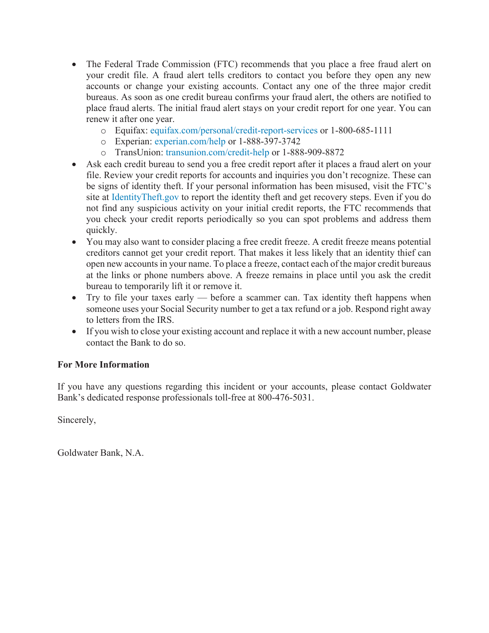- The Federal Trade Commission (FTC) recommends that you place a free fraud alert on your credit file. A fraud alert tells creditors to contact you before they open any new accounts or change your existing accounts. Contact any one of the three major credit bureaus. As soon as one credit bureau confirms your fraud alert, the others are notified to place fraud alerts. The initial fraud alert stays on your credit report for one year. You can renew it after one year.
	- o Equifax: equifax.com/personal/credit-report-services or 1-800-685-1111
	- o Experian: experian.com/help or 1-888-397-3742
	- o TransUnion: transunion.com/credit-help or 1-888-909-8872
- Ask each credit bureau to send you a free credit report after it places a fraud alert on your file. Review your credit reports for accounts and inquiries you don't recognize. These can be signs of identity theft. If your personal information has been misused, visit the FTC's site at IdentityTheft.gov to report the identity theft and get recovery steps. Even if you do not find any suspicious activity on your initial credit reports, the FTC recommends that you check your credit reports periodically so you can spot problems and address them quickly.
- You may also want to consider placing a free credit freeze. A credit freeze means potential creditors cannot get your credit report. That makes it less likely that an identity thief can open new accounts in your name. To place a freeze, contact each of the major credit bureaus at the links or phone numbers above. A freeze remains in place until you ask the credit bureau to temporarily lift it or remove it.
- Try to file your taxes early before a scammer can. Tax identity theft happens when someone uses your Social Security number to get a tax refund or a job. Respond right away to letters from the IRS.
- If you wish to close your existing account and replace it with a new account number, please contact the Bank to do so.

## **For More Information**

If you have any questions regarding this incident or your accounts, please contact Goldwater Bank's dedicated response professionals toll-free at 800-476-5031.

Sincerely,

Goldwater Bank, N.A.